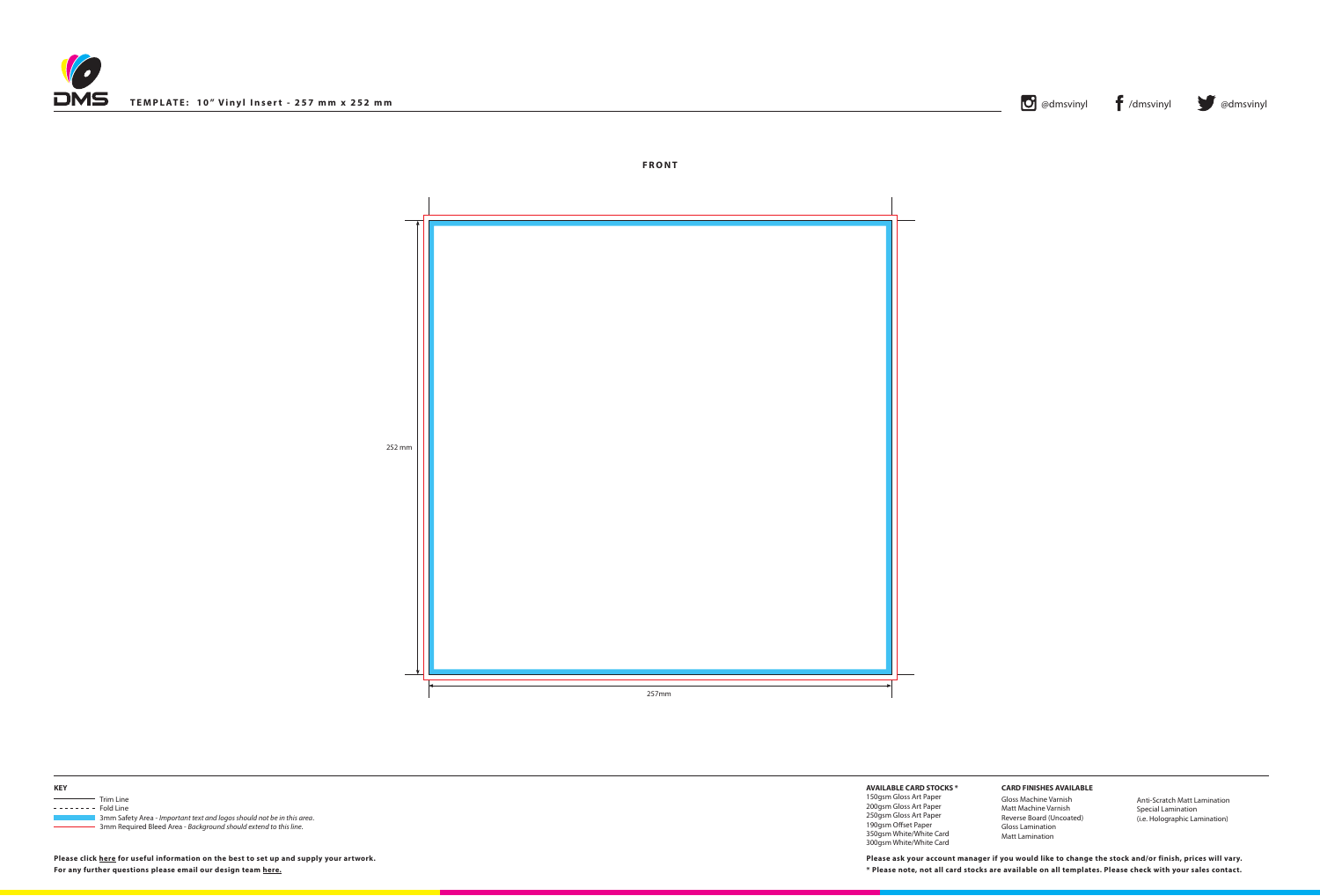



252 mm





| <b>KEY</b>                                   |                                                                        |
|----------------------------------------------|------------------------------------------------------------------------|
| the control of the control of the control of | Trim Line                                                              |
| $------$ Fold Line                           |                                                                        |
|                                              | 3mm Safety Area - Important text and logos should not be in this area. |
|                                              | 3mm Required Bleed Area - Background should extend to this line.       |

**Please click [here](http://www.discmanufacturingservices.com/vinyl-templates.htm#artwork-specifications) for useful information on the best to set up and supply your artwork.**

**AVAILABLE CARD STOCKS \***

150gsm Gloss Art Paper 200gsm Gloss Art Paper 250gsm Gloss Art Paper 190gsm Offset Paper 350gsm White/White Card 300gsm White/White Card

**For any further questions please email our design team [here](mailto:graphics%40discmanufacturingservices.com?subject=Template%20Enquiry). \* Please note, not all card stocks are available on all templates. Please check with your sales contact. Please ask your account manager if you would like to change the stock and/or finish, prices will vary.**





## **CARD FINISHES AVAILABLE**

Gloss Machine Varnish Matt Machine Varnish Reverse Board (Uncoated) Gloss Lamination Matt Lamination

Anti-Scratch Matt Lamination Special Lamination (i.e. Holographic Lamination)